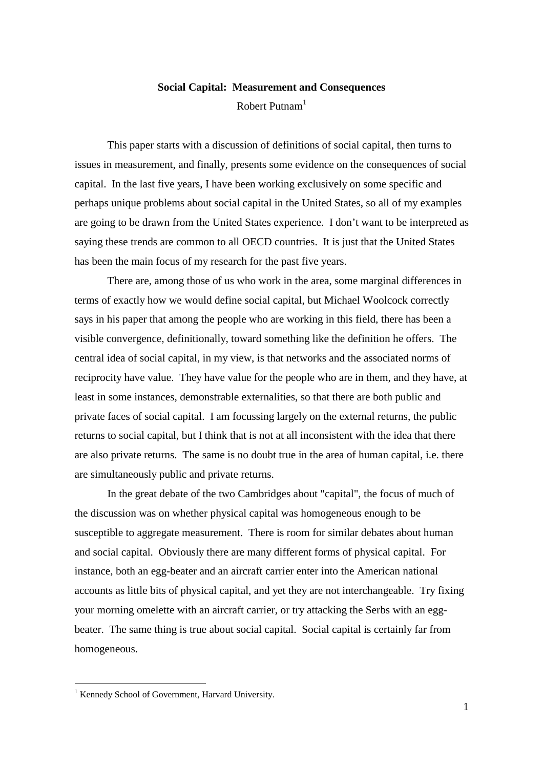## **Social Capital: Measurement and Consequences** Robert Putnam<sup>1</sup>

This paper starts with a discussion of definitions of social capital, then turns to issues in measurement, and finally, presents some evidence on the consequences of social capital. In the last five years, I have been working exclusively on some specific and perhaps unique problems about social capital in the United States, so all of my examples are going to be drawn from the United States experience. I don't want to be interpreted as saying these trends are common to all OECD countries. It is just that the United States has been the main focus of my research for the past five years.

There are, among those of us who work in the area, some marginal differences in terms of exactly how we would define social capital, but Michael Woolcock correctly says in his paper that among the people who are working in this field, there has been a visible convergence, definitionally, toward something like the definition he offers. The central idea of social capital, in my view, is that networks and the associated norms of reciprocity have value. They have value for the people who are in them, and they have, at least in some instances, demonstrable externalities, so that there are both public and private faces of social capital. I am focussing largely on the external returns, the public returns to social capital, but I think that is not at all inconsistent with the idea that there are also private returns. The same is no doubt true in the area of human capital, i.e. there are simultaneously public and private returns.

In the great debate of the two Cambridges about "capital", the focus of much of the discussion was on whether physical capital was homogeneous enough to be susceptible to aggregate measurement. There is room for similar debates about human and social capital. Obviously there are many different forms of physical capital. For instance, both an egg-beater and an aircraft carrier enter into the American national accounts as little bits of physical capital, and yet they are not interchangeable. Try fixing your morning omelette with an aircraft carrier, or try attacking the Serbs with an eggbeater. The same thing is true about social capital. Social capital is certainly far from homogeneous.

<u>.</u>

<sup>&</sup>lt;sup>1</sup> Kennedy School of Government, Harvard University.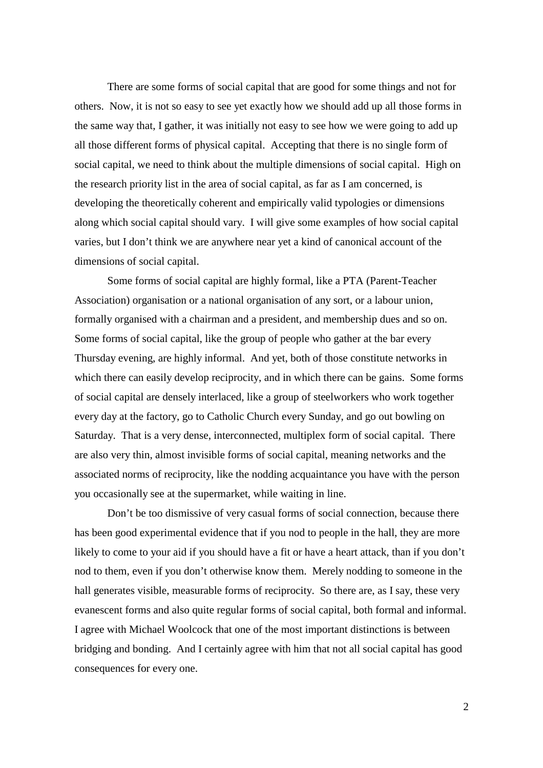There are some forms of social capital that are good for some things and not for others. Now, it is not so easy to see yet exactly how we should add up all those forms in the same way that, I gather, it was initially not easy to see how we were going to add up all those different forms of physical capital. Accepting that there is no single form of social capital, we need to think about the multiple dimensions of social capital. High on the research priority list in the area of social capital, as far as I am concerned, is developing the theoretically coherent and empirically valid typologies or dimensions along which social capital should vary. I will give some examples of how social capital varies, but I don't think we are anywhere near yet a kind of canonical account of the dimensions of social capital.

Some forms of social capital are highly formal, like a PTA (Parent-Teacher Association) organisation or a national organisation of any sort, or a labour union, formally organised with a chairman and a president, and membership dues and so on. Some forms of social capital, like the group of people who gather at the bar every Thursday evening, are highly informal. And yet, both of those constitute networks in which there can easily develop reciprocity, and in which there can be gains. Some forms of social capital are densely interlaced, like a group of steelworkers who work together every day at the factory, go to Catholic Church every Sunday, and go out bowling on Saturday. That is a very dense, interconnected, multiplex form of social capital. There are also very thin, almost invisible forms of social capital, meaning networks and the associated norms of reciprocity, like the nodding acquaintance you have with the person you occasionally see at the supermarket, while waiting in line.

Don't be too dismissive of very casual forms of social connection, because there has been good experimental evidence that if you nod to people in the hall, they are more likely to come to your aid if you should have a fit or have a heart attack, than if you don't nod to them, even if you don't otherwise know them. Merely nodding to someone in the hall generates visible, measurable forms of reciprocity. So there are, as I say, these very evanescent forms and also quite regular forms of social capital, both formal and informal. I agree with Michael Woolcock that one of the most important distinctions is between bridging and bonding. And I certainly agree with him that not all social capital has good consequences for every one.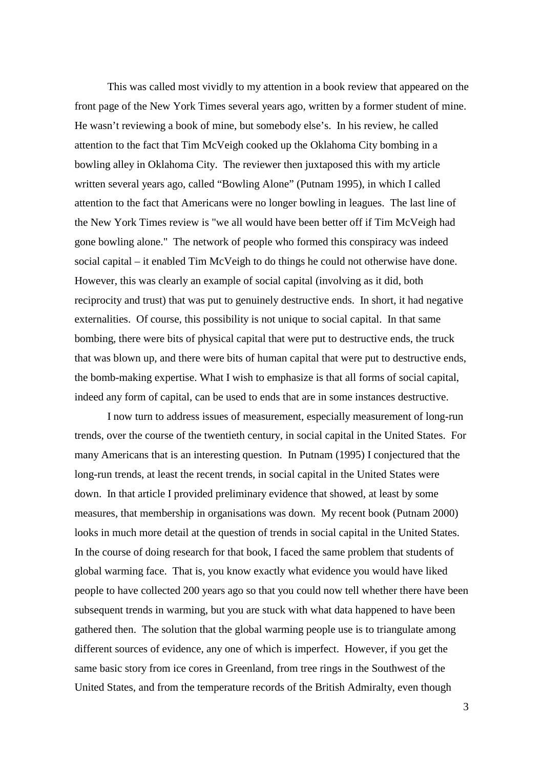This was called most vividly to my attention in a book review that appeared on the front page of the New York Times several years ago, written by a former student of mine. He wasn't reviewing a book of mine, but somebody else's. In his review, he called attention to the fact that Tim McVeigh cooked up the Oklahoma City bombing in a bowling alley in Oklahoma City. The reviewer then juxtaposed this with my article written several years ago, called "Bowling Alone" (Putnam 1995), in which I called attention to the fact that Americans were no longer bowling in leagues. The last line of the New York Times review is "we all would have been better off if Tim McVeigh had gone bowling alone." The network of people who formed this conspiracy was indeed social capital – it enabled Tim McVeigh to do things he could not otherwise have done. However, this was clearly an example of social capital (involving as it did, both reciprocity and trust) that was put to genuinely destructive ends. In short, it had negative externalities. Of course, this possibility is not unique to social capital. In that same bombing, there were bits of physical capital that were put to destructive ends, the truck that was blown up, and there were bits of human capital that were put to destructive ends, the bomb-making expertise. What I wish to emphasize is that all forms of social capital, indeed any form of capital, can be used to ends that are in some instances destructive.

I now turn to address issues of measurement, especially measurement of long-run trends, over the course of the twentieth century, in social capital in the United States. For many Americans that is an interesting question. In Putnam (1995) I conjectured that the long-run trends, at least the recent trends, in social capital in the United States were down. In that article I provided preliminary evidence that showed, at least by some measures, that membership in organisations was down. My recent book (Putnam 2000) looks in much more detail at the question of trends in social capital in the United States. In the course of doing research for that book, I faced the same problem that students of global warming face. That is, you know exactly what evidence you would have liked people to have collected 200 years ago so that you could now tell whether there have been subsequent trends in warming, but you are stuck with what data happened to have been gathered then. The solution that the global warming people use is to triangulate among different sources of evidence, any one of which is imperfect. However, if you get the same basic story from ice cores in Greenland, from tree rings in the Southwest of the United States, and from the temperature records of the British Admiralty, even though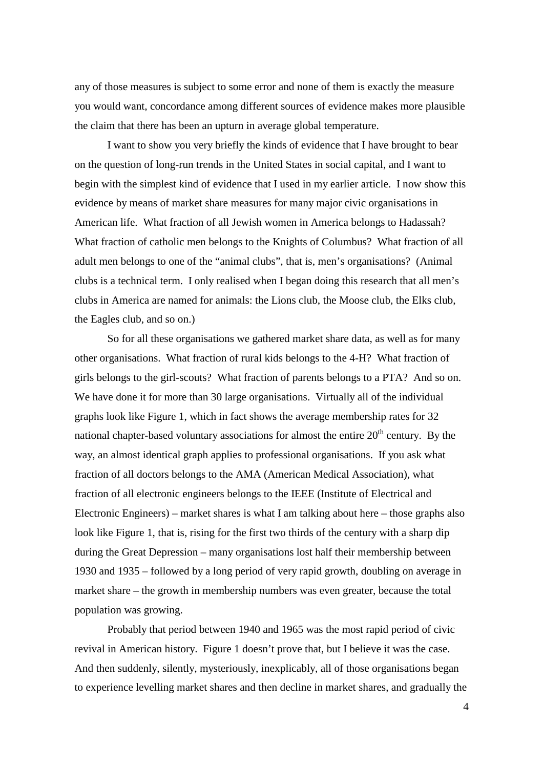any of those measures is subject to some error and none of them is exactly the measure you would want, concordance among different sources of evidence makes more plausible the claim that there has been an upturn in average global temperature.

I want to show you very briefly the kinds of evidence that I have brought to bear on the question of long-run trends in the United States in social capital, and I want to begin with the simplest kind of evidence that I used in my earlier article. I now show this evidence by means of market share measures for many major civic organisations in American life. What fraction of all Jewish women in America belongs to Hadassah? What fraction of catholic men belongs to the Knights of Columbus? What fraction of all adult men belongs to one of the "animal clubs", that is, men's organisations? (Animal clubs is a technical term. I only realised when I began doing this research that all men's clubs in America are named for animals: the Lions club, the Moose club, the Elks club, the Eagles club, and so on.)

So for all these organisations we gathered market share data, as well as for many other organisations. What fraction of rural kids belongs to the 4-H? What fraction of girls belongs to the girl-scouts? What fraction of parents belongs to a PTA? And so on. We have done it for more than 30 large organisations. Virtually all of the individual graphs look like Figure 1, which in fact shows the average membership rates for 32 national chapter-based voluntary associations for almost the entire  $20<sup>th</sup>$  century. By the way, an almost identical graph applies to professional organisations. If you ask what fraction of all doctors belongs to the AMA (American Medical Association), what fraction of all electronic engineers belongs to the IEEE (Institute of Electrical and Electronic Engineers) – market shares is what I am talking about here – those graphs also look like Figure 1, that is, rising for the first two thirds of the century with a sharp dip during the Great Depression – many organisations lost half their membership between 1930 and 1935 – followed by a long period of very rapid growth, doubling on average in market share – the growth in membership numbers was even greater, because the total population was growing.

Probably that period between 1940 and 1965 was the most rapid period of civic revival in American history. Figure 1 doesn't prove that, but I believe it was the case. And then suddenly, silently, mysteriously, inexplicably, all of those organisations began to experience levelling market shares and then decline in market shares, and gradually the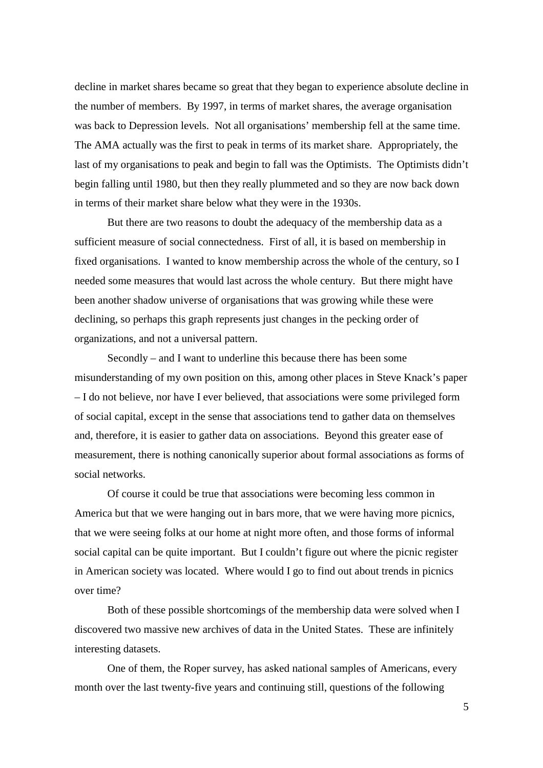decline in market shares became so great that they began to experience absolute decline in the number of members. By 1997, in terms of market shares, the average organisation was back to Depression levels. Not all organisations' membership fell at the same time. The AMA actually was the first to peak in terms of its market share. Appropriately, the last of my organisations to peak and begin to fall was the Optimists. The Optimists didn't begin falling until 1980, but then they really plummeted and so they are now back down in terms of their market share below what they were in the 1930s.

But there are two reasons to doubt the adequacy of the membership data as a sufficient measure of social connectedness. First of all, it is based on membership in fixed organisations. I wanted to know membership across the whole of the century, so I needed some measures that would last across the whole century. But there might have been another shadow universe of organisations that was growing while these were declining, so perhaps this graph represents just changes in the pecking order of organizations, and not a universal pattern.

Secondly – and I want to underline this because there has been some misunderstanding of my own position on this, among other places in Steve Knack's paper – I do not believe, nor have I ever believed, that associations were some privileged form of social capital, except in the sense that associations tend to gather data on themselves and, therefore, it is easier to gather data on associations. Beyond this greater ease of measurement, there is nothing canonically superior about formal associations as forms of social networks.

Of course it could be true that associations were becoming less common in America but that we were hanging out in bars more, that we were having more picnics, that we were seeing folks at our home at night more often, and those forms of informal social capital can be quite important. But I couldn't figure out where the picnic register in American society was located. Where would I go to find out about trends in picnics over time?

Both of these possible shortcomings of the membership data were solved when I discovered two massive new archives of data in the United States. These are infinitely interesting datasets.

One of them, the Roper survey, has asked national samples of Americans, every month over the last twenty-five years and continuing still, questions of the following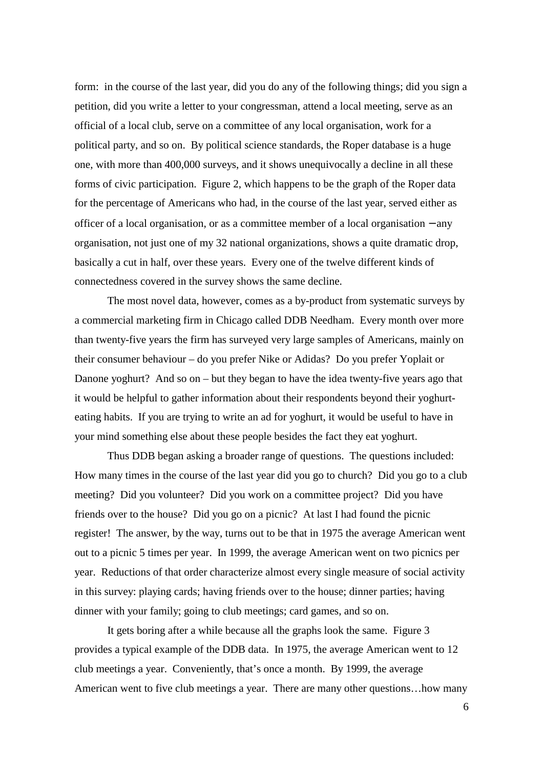form: in the course of the last year, did you do any of the following things; did you sign a petition, did you write a letter to your congressman, attend a local meeting, serve as an official of a local club, serve on a committee of any local organisation, work for a political party, and so on. By political science standards, the Roper database is a huge one, with more than 400,000 surveys, and it shows unequivocally a decline in all these forms of civic participation. Figure 2, which happens to be the graph of the Roper data for the percentage of Americans who had, in the course of the last year, served either as officer of a local organisation, or as a committee member of a local organisation − any organisation, not just one of my 32 national organizations, shows a quite dramatic drop, basically a cut in half, over these years. Every one of the twelve different kinds of connectedness covered in the survey shows the same decline.

The most novel data, however, comes as a by-product from systematic surveys by a commercial marketing firm in Chicago called DDB Needham. Every month over more than twenty-five years the firm has surveyed very large samples of Americans, mainly on their consumer behaviour – do you prefer Nike or Adidas? Do you prefer Yoplait or Danone yoghurt? And so on – but they began to have the idea twenty-five years ago that it would be helpful to gather information about their respondents beyond their yoghurteating habits. If you are trying to write an ad for yoghurt, it would be useful to have in your mind something else about these people besides the fact they eat yoghurt.

Thus DDB began asking a broader range of questions. The questions included: How many times in the course of the last year did you go to church? Did you go to a club meeting? Did you volunteer? Did you work on a committee project? Did you have friends over to the house? Did you go on a picnic? At last I had found the picnic register! The answer, by the way, turns out to be that in 1975 the average American went out to a picnic 5 times per year. In 1999, the average American went on two picnics per year. Reductions of that order characterize almost every single measure of social activity in this survey: playing cards; having friends over to the house; dinner parties; having dinner with your family; going to club meetings; card games, and so on.

It gets boring after a while because all the graphs look the same. Figure 3 provides a typical example of the DDB data. In 1975, the average American went to 12 club meetings a year. Conveniently, that's once a month. By 1999, the average American went to five club meetings a year. There are many other questions…how many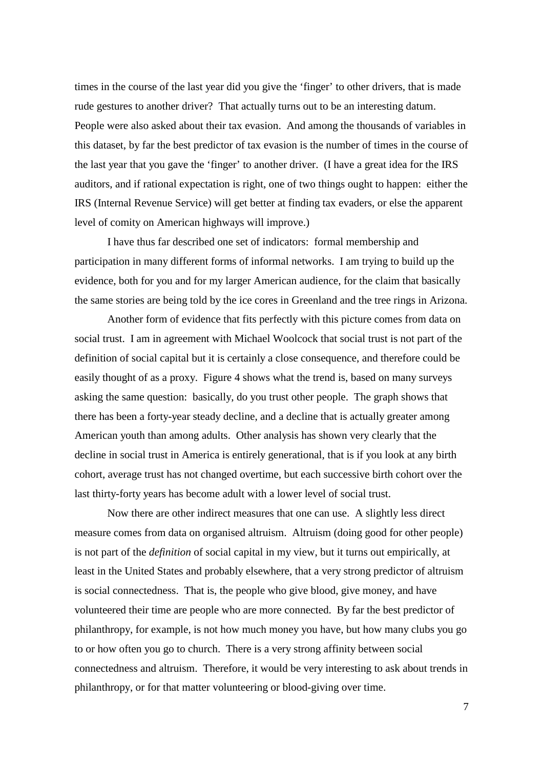times in the course of the last year did you give the 'finger' to other drivers, that is made rude gestures to another driver? That actually turns out to be an interesting datum. People were also asked about their tax evasion. And among the thousands of variables in this dataset, by far the best predictor of tax evasion is the number of times in the course of the last year that you gave the 'finger' to another driver. (I have a great idea for the IRS auditors, and if rational expectation is right, one of two things ought to happen: either the IRS (Internal Revenue Service) will get better at finding tax evaders, or else the apparent level of comity on American highways will improve.)

I have thus far described one set of indicators: formal membership and participation in many different forms of informal networks. I am trying to build up the evidence, both for you and for my larger American audience, for the claim that basically the same stories are being told by the ice cores in Greenland and the tree rings in Arizona.

Another form of evidence that fits perfectly with this picture comes from data on social trust. I am in agreement with Michael Woolcock that social trust is not part of the definition of social capital but it is certainly a close consequence, and therefore could be easily thought of as a proxy. Figure 4 shows what the trend is, based on many surveys asking the same question: basically, do you trust other people. The graph shows that there has been a forty-year steady decline, and a decline that is actually greater among American youth than among adults. Other analysis has shown very clearly that the decline in social trust in America is entirely generational, that is if you look at any birth cohort, average trust has not changed overtime, but each successive birth cohort over the last thirty-forty years has become adult with a lower level of social trust.

Now there are other indirect measures that one can use. A slightly less direct measure comes from data on organised altruism. Altruism (doing good for other people) is not part of the *definition* of social capital in my view, but it turns out empirically, at least in the United States and probably elsewhere, that a very strong predictor of altruism is social connectedness. That is, the people who give blood, give money, and have volunteered their time are people who are more connected. By far the best predictor of philanthropy, for example, is not how much money you have, but how many clubs you go to or how often you go to church. There is a very strong affinity between social connectedness and altruism. Therefore, it would be very interesting to ask about trends in philanthropy, or for that matter volunteering or blood-giving over time.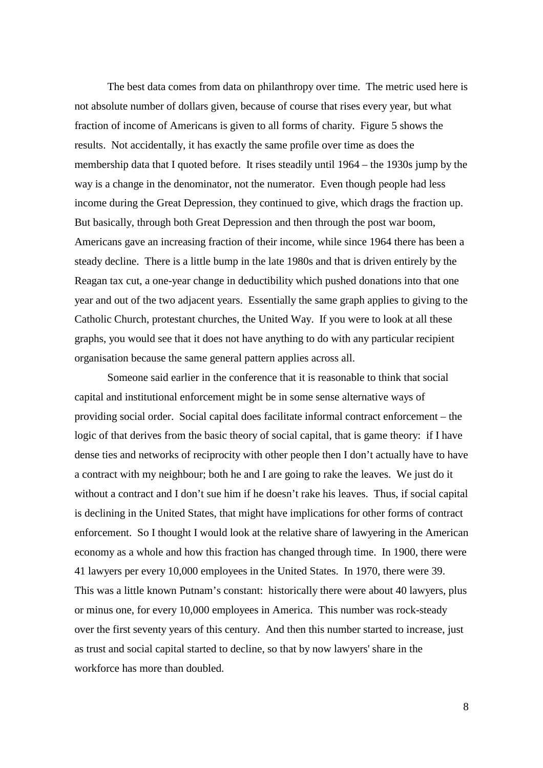The best data comes from data on philanthropy over time. The metric used here is not absolute number of dollars given, because of course that rises every year, but what fraction of income of Americans is given to all forms of charity. Figure 5 shows the results. Not accidentally, it has exactly the same profile over time as does the membership data that I quoted before. It rises steadily until 1964 – the 1930s jump by the way is a change in the denominator, not the numerator. Even though people had less income during the Great Depression, they continued to give, which drags the fraction up. But basically, through both Great Depression and then through the post war boom, Americans gave an increasing fraction of their income, while since 1964 there has been a steady decline. There is a little bump in the late 1980s and that is driven entirely by the Reagan tax cut, a one-year change in deductibility which pushed donations into that one year and out of the two adjacent years. Essentially the same graph applies to giving to the Catholic Church, protestant churches, the United Way. If you were to look at all these graphs, you would see that it does not have anything to do with any particular recipient organisation because the same general pattern applies across all.

Someone said earlier in the conference that it is reasonable to think that social capital and institutional enforcement might be in some sense alternative ways of providing social order. Social capital does facilitate informal contract enforcement – the logic of that derives from the basic theory of social capital, that is game theory: if I have dense ties and networks of reciprocity with other people then I don't actually have to have a contract with my neighbour; both he and I are going to rake the leaves. We just do it without a contract and I don't sue him if he doesn't rake his leaves. Thus, if social capital is declining in the United States, that might have implications for other forms of contract enforcement. So I thought I would look at the relative share of lawyering in the American economy as a whole and how this fraction has changed through time. In 1900, there were 41 lawyers per every 10,000 employees in the United States. In 1970, there were 39. This was a little known Putnam's constant: historically there were about 40 lawyers, plus or minus one, for every 10,000 employees in America. This number was rock-steady over the first seventy years of this century. And then this number started to increase, just as trust and social capital started to decline, so that by now lawyers' share in the workforce has more than doubled.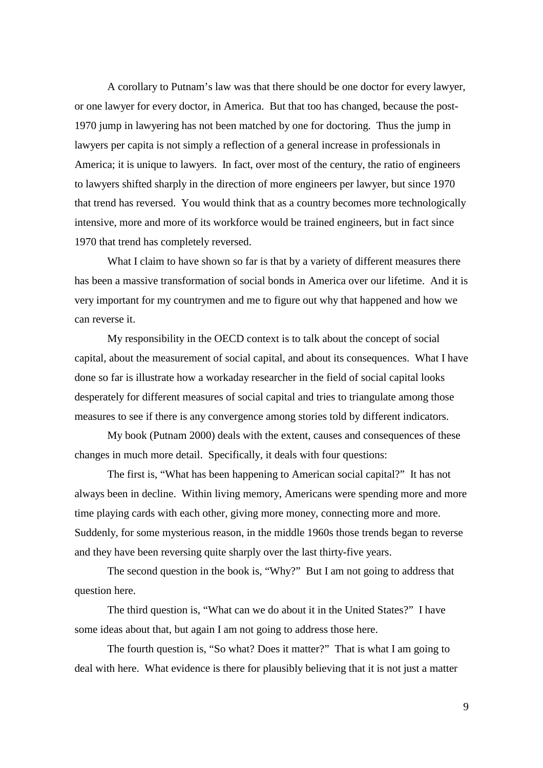A corollary to Putnam's law was that there should be one doctor for every lawyer, or one lawyer for every doctor, in America. But that too has changed, because the post-1970 jump in lawyering has not been matched by one for doctoring. Thus the jump in lawyers per capita is not simply a reflection of a general increase in professionals in America; it is unique to lawyers. In fact, over most of the century, the ratio of engineers to lawyers shifted sharply in the direction of more engineers per lawyer, but since 1970 that trend has reversed. You would think that as a country becomes more technologically intensive, more and more of its workforce would be trained engineers, but in fact since 1970 that trend has completely reversed.

What I claim to have shown so far is that by a variety of different measures there has been a massive transformation of social bonds in America over our lifetime. And it is very important for my countrymen and me to figure out why that happened and how we can reverse it.

My responsibility in the OECD context is to talk about the concept of social capital, about the measurement of social capital, and about its consequences. What I have done so far is illustrate how a workaday researcher in the field of social capital looks desperately for different measures of social capital and tries to triangulate among those measures to see if there is any convergence among stories told by different indicators.

My book (Putnam 2000) deals with the extent, causes and consequences of these changes in much more detail. Specifically, it deals with four questions:

The first is, "What has been happening to American social capital?" It has not always been in decline. Within living memory, Americans were spending more and more time playing cards with each other, giving more money, connecting more and more. Suddenly, for some mysterious reason, in the middle 1960s those trends began to reverse and they have been reversing quite sharply over the last thirty-five years.

The second question in the book is, "Why?" But I am not going to address that question here.

The third question is, "What can we do about it in the United States?" I have some ideas about that, but again I am not going to address those here.

The fourth question is, "So what? Does it matter?" That is what I am going to deal with here. What evidence is there for plausibly believing that it is not just a matter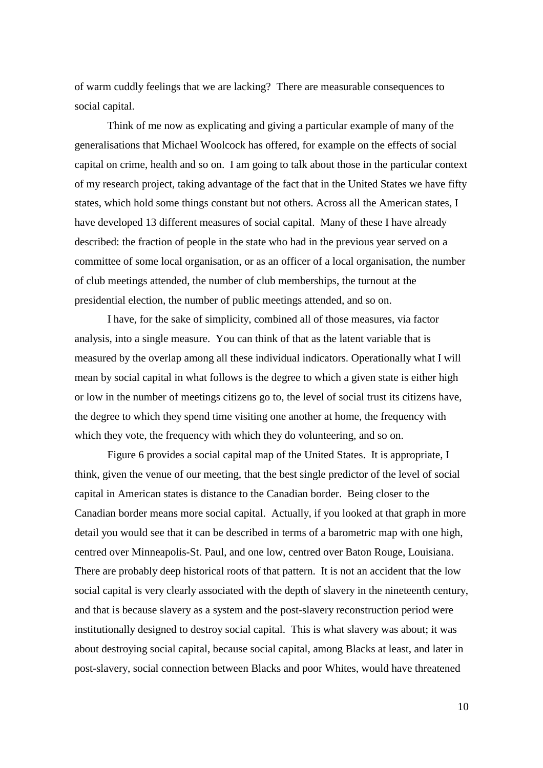of warm cuddly feelings that we are lacking? There are measurable consequences to social capital.

Think of me now as explicating and giving a particular example of many of the generalisations that Michael Woolcock has offered, for example on the effects of social capital on crime, health and so on. I am going to talk about those in the particular context of my research project, taking advantage of the fact that in the United States we have fifty states, which hold some things constant but not others. Across all the American states, I have developed 13 different measures of social capital. Many of these I have already described: the fraction of people in the state who had in the previous year served on a committee of some local organisation, or as an officer of a local organisation, the number of club meetings attended, the number of club memberships, the turnout at the presidential election, the number of public meetings attended, and so on.

I have, for the sake of simplicity, combined all of those measures, via factor analysis, into a single measure. You can think of that as the latent variable that is measured by the overlap among all these individual indicators. Operationally what I will mean by social capital in what follows is the degree to which a given state is either high or low in the number of meetings citizens go to, the level of social trust its citizens have, the degree to which they spend time visiting one another at home, the frequency with which they vote, the frequency with which they do volunteering, and so on.

Figure 6 provides a social capital map of the United States. It is appropriate, I think, given the venue of our meeting, that the best single predictor of the level of social capital in American states is distance to the Canadian border. Being closer to the Canadian border means more social capital. Actually, if you looked at that graph in more detail you would see that it can be described in terms of a barometric map with one high, centred over Minneapolis-St. Paul, and one low, centred over Baton Rouge, Louisiana. There are probably deep historical roots of that pattern. It is not an accident that the low social capital is very clearly associated with the depth of slavery in the nineteenth century, and that is because slavery as a system and the post-slavery reconstruction period were institutionally designed to destroy social capital. This is what slavery was about; it was about destroying social capital, because social capital, among Blacks at least, and later in post-slavery, social connection between Blacks and poor Whites, would have threatened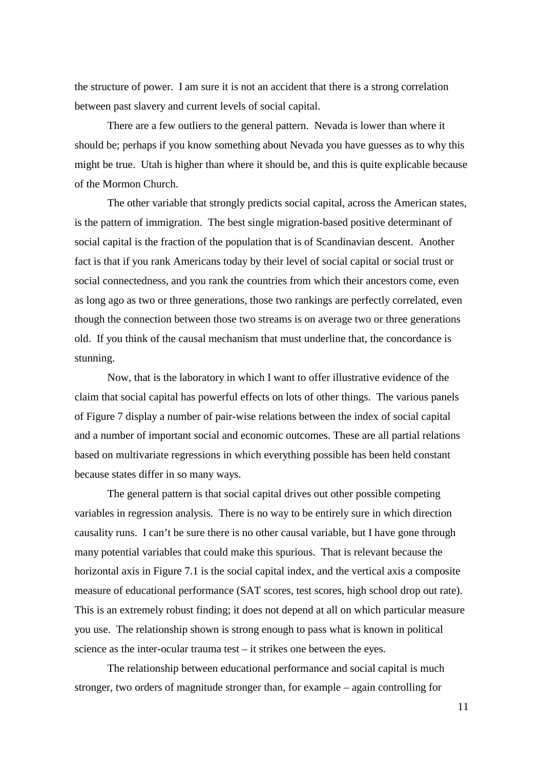the structure of power. I am sure it is not an accident that there is a strong correlation between past slavery and current levels of social capital.

There are a few outliers to the general pattern. Nevada is lower than where it should be; perhaps if you know something about Nevada you have guesses as to why this might be true. Utah is higher than where it should be, and this is quite explicable because of the Mormon Church.

The other variable that strongly predicts social capital, across the American states, is the pattern of immigration. The best single migration-based positive determinant of social capital is the fraction of the population that is of Scandinavian descent. Another fact is that if you rank Americans today by their level of social capital or social trust or social connectedness, and you rank the countries from which their ancestors come, even as long ago as two or three generations, those two rankings are perfectly correlated, even though the connection between those two streams is on average two or three generations old. If you think of the causal mechanism that must underline that, the concordance is stunning.

Now, that is the laboratory in which I want to offer illustrative evidence of the claim that social capital has powerful effects on lots of other things. The various panels of Figure 7 display a number of pair-wise relations between the index of social capital and a number of important social and economic outcomes. These are all partial relations based on multivariate regressions in which everything possible has been held constant because states differ in so many ways.

The general pattern is that social capital drives out other possible competing variables in regression analysis. There is no way to be entirely sure in which direction causality runs. I can't be sure there is no other causal variable, but I have gone through many potential variables that could make this spurious. That is relevant because the horizontal axis in Figure 7.1 is the social capital index, and the vertical axis a composite measure of educational performance (SAT scores, test scores, high school drop out rate). This is an extremely robust finding; it does not depend at all on which particular measure you use. The relationship shown is strong enough to pass what is known in political science as the inter-ocular trauma test – it strikes one between the eyes.

The relationship between educational performance and social capital is much stronger, two orders of magnitude stronger than, for example – again controlling for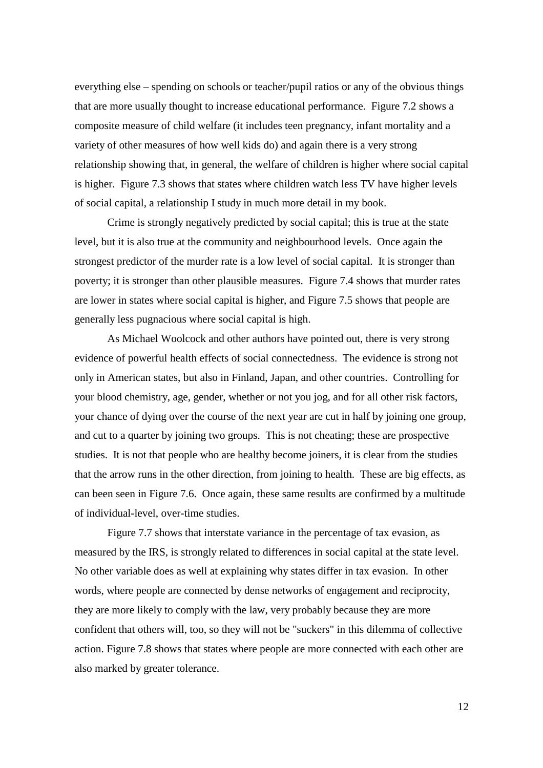everything else – spending on schools or teacher/pupil ratios or any of the obvious things that are more usually thought to increase educational performance. Figure 7.2 shows a composite measure of child welfare (it includes teen pregnancy, infant mortality and a variety of other measures of how well kids do) and again there is a very strong relationship showing that, in general, the welfare of children is higher where social capital is higher. Figure 7.3 shows that states where children watch less TV have higher levels of social capital, a relationship I study in much more detail in my book.

Crime is strongly negatively predicted by social capital; this is true at the state level, but it is also true at the community and neighbourhood levels. Once again the strongest predictor of the murder rate is a low level of social capital. It is stronger than poverty; it is stronger than other plausible measures. Figure 7.4 shows that murder rates are lower in states where social capital is higher, and Figure 7.5 shows that people are generally less pugnacious where social capital is high.

As Michael Woolcock and other authors have pointed out, there is very strong evidence of powerful health effects of social connectedness. The evidence is strong not only in American states, but also in Finland, Japan, and other countries. Controlling for your blood chemistry, age, gender, whether or not you jog, and for all other risk factors, your chance of dying over the course of the next year are cut in half by joining one group, and cut to a quarter by joining two groups. This is not cheating; these are prospective studies. It is not that people who are healthy become joiners, it is clear from the studies that the arrow runs in the other direction, from joining to health. These are big effects, as can been seen in Figure 7.6. Once again, these same results are confirmed by a multitude of individual-level, over-time studies.

Figure 7.7 shows that interstate variance in the percentage of tax evasion, as measured by the IRS, is strongly related to differences in social capital at the state level. No other variable does as well at explaining why states differ in tax evasion. In other words, where people are connected by dense networks of engagement and reciprocity, they are more likely to comply with the law, very probably because they are more confident that others will, too, so they will not be "suckers" in this dilemma of collective action. Figure 7.8 shows that states where people are more connected with each other are also marked by greater tolerance.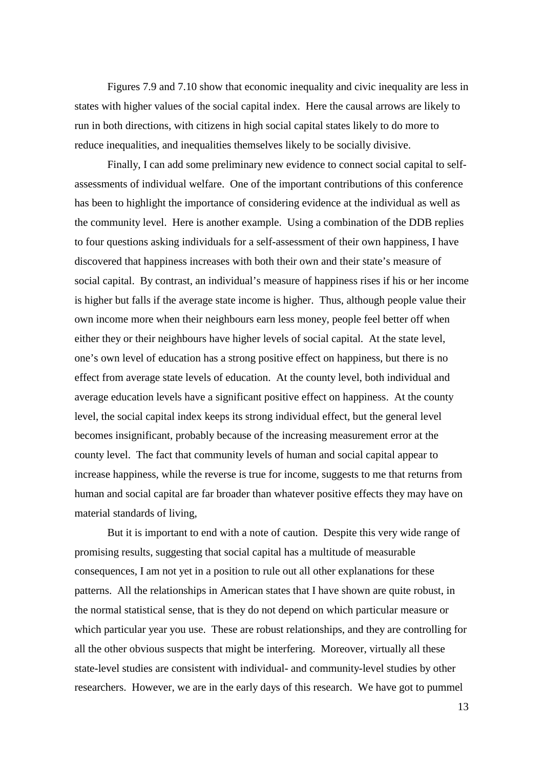Figures 7.9 and 7.10 show that economic inequality and civic inequality are less in states with higher values of the social capital index. Here the causal arrows are likely to run in both directions, with citizens in high social capital states likely to do more to reduce inequalities, and inequalities themselves likely to be socially divisive.

Finally, I can add some preliminary new evidence to connect social capital to selfassessments of individual welfare. One of the important contributions of this conference has been to highlight the importance of considering evidence at the individual as well as the community level. Here is another example. Using a combination of the DDB replies to four questions asking individuals for a self-assessment of their own happiness, I have discovered that happiness increases with both their own and their state's measure of social capital. By contrast, an individual's measure of happiness rises if his or her income is higher but falls if the average state income is higher. Thus, although people value their own income more when their neighbours earn less money, people feel better off when either they or their neighbours have higher levels of social capital. At the state level, one's own level of education has a strong positive effect on happiness, but there is no effect from average state levels of education. At the county level, both individual and average education levels have a significant positive effect on happiness. At the county level, the social capital index keeps its strong individual effect, but the general level becomes insignificant, probably because of the increasing measurement error at the county level. The fact that community levels of human and social capital appear to increase happiness, while the reverse is true for income, suggests to me that returns from human and social capital are far broader than whatever positive effects they may have on material standards of living,

 But it is important to end with a note of caution. Despite this very wide range of promising results, suggesting that social capital has a multitude of measurable consequences, I am not yet in a position to rule out all other explanations for these patterns. All the relationships in American states that I have shown are quite robust, in the normal statistical sense, that is they do not depend on which particular measure or which particular year you use. These are robust relationships, and they are controlling for all the other obvious suspects that might be interfering. Moreover, virtually all these state-level studies are consistent with individual- and community-level studies by other researchers. However, we are in the early days of this research. We have got to pummel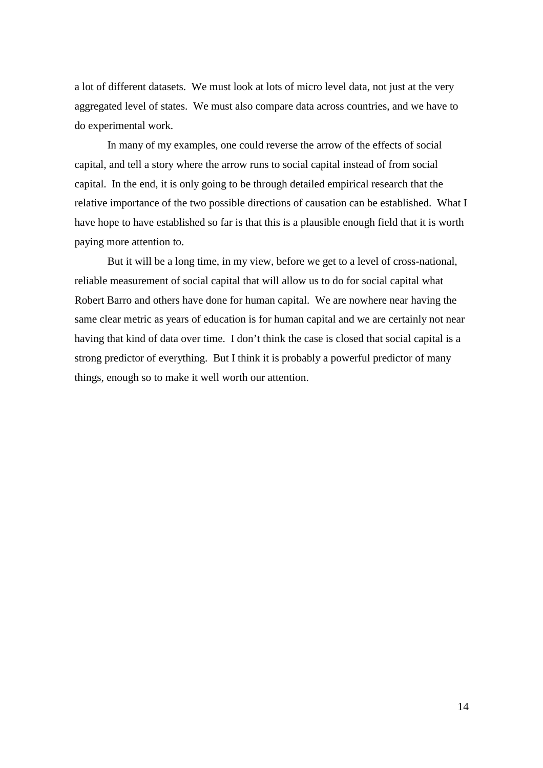a lot of different datasets. We must look at lots of micro level data, not just at the very aggregated level of states. We must also compare data across countries, and we have to do experimental work.

In many of my examples, one could reverse the arrow of the effects of social capital, and tell a story where the arrow runs to social capital instead of from social capital. In the end, it is only going to be through detailed empirical research that the relative importance of the two possible directions of causation can be established. What I have hope to have established so far is that this is a plausible enough field that it is worth paying more attention to.

But it will be a long time, in my view, before we get to a level of cross-national, reliable measurement of social capital that will allow us to do for social capital what Robert Barro and others have done for human capital. We are nowhere near having the same clear metric as years of education is for human capital and we are certainly not near having that kind of data over time. I don't think the case is closed that social capital is a strong predictor of everything. But I think it is probably a powerful predictor of many things, enough so to make it well worth our attention.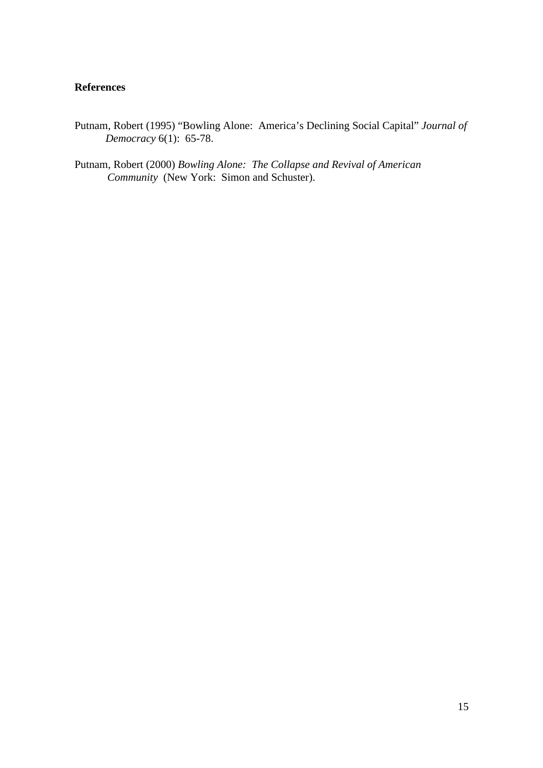## **References**

- Putnam, Robert (1995) "Bowling Alone: America's Declining Social Capital" *Journal of Democracy* 6(1): 65-78.
- Putnam, Robert (2000) *Bowling Alone: The Collapse and Revival of American Community* (New York: Simon and Schuster).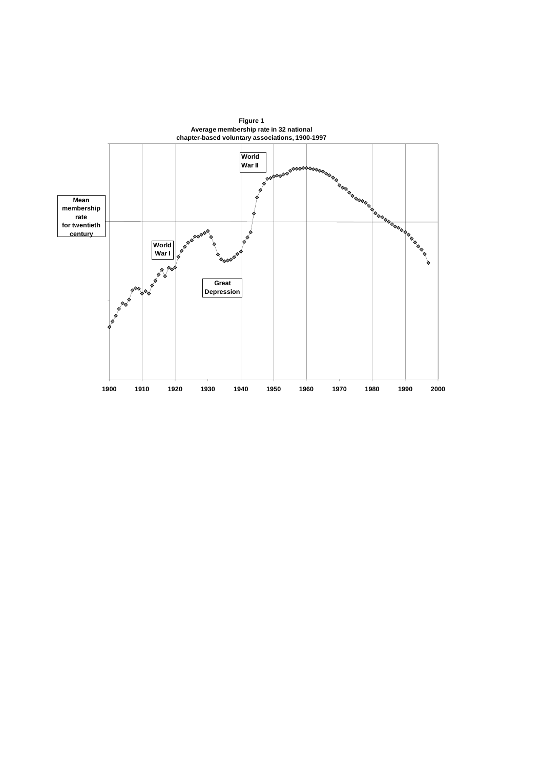

**Figure 1**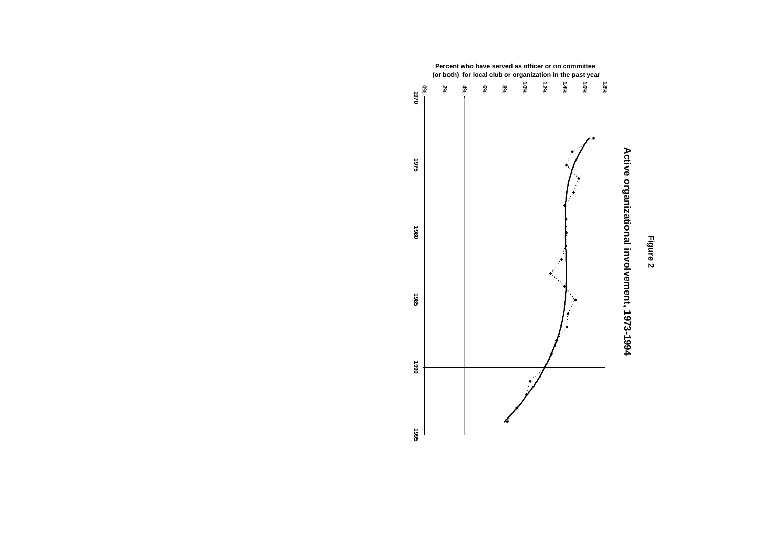



## Active organizational involvement, 1973-1994 **Active organizational involvement, 1973-1994**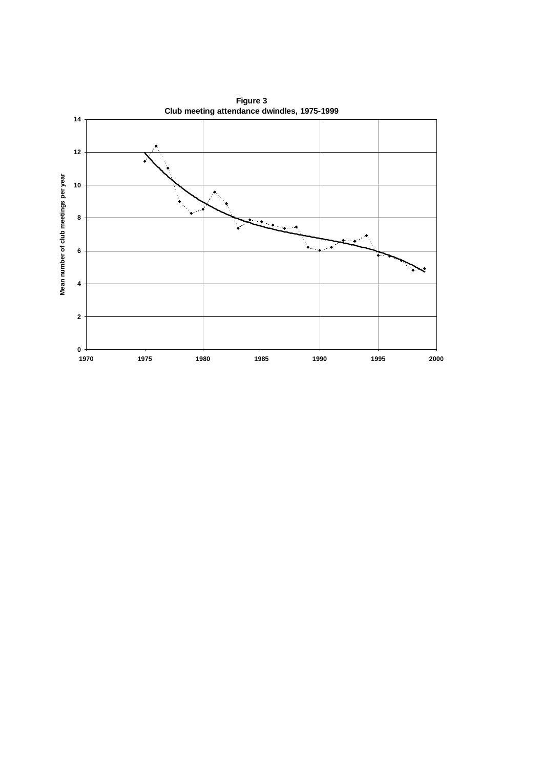

**Figure 3**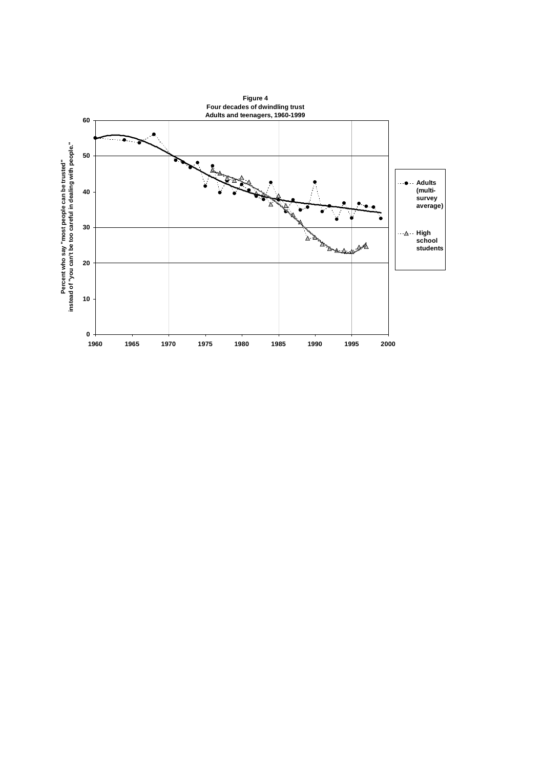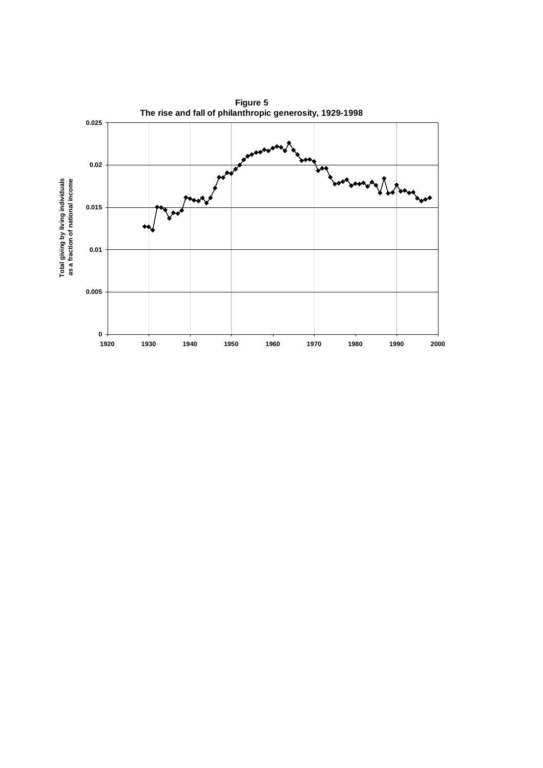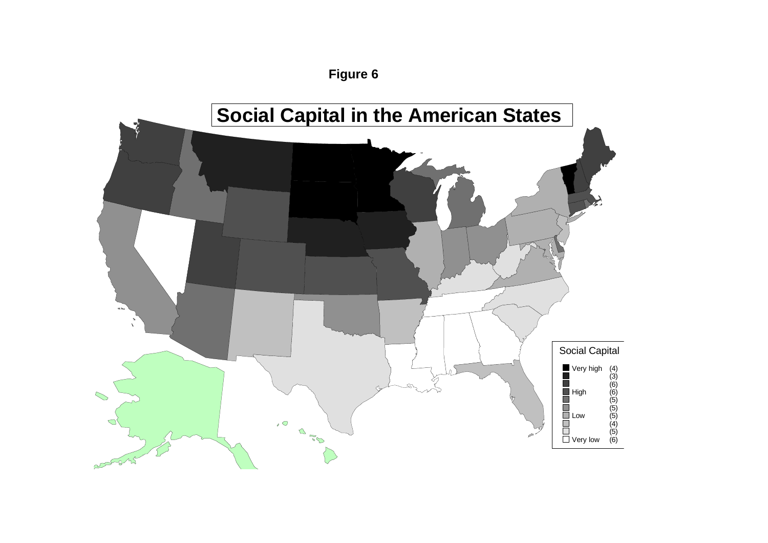

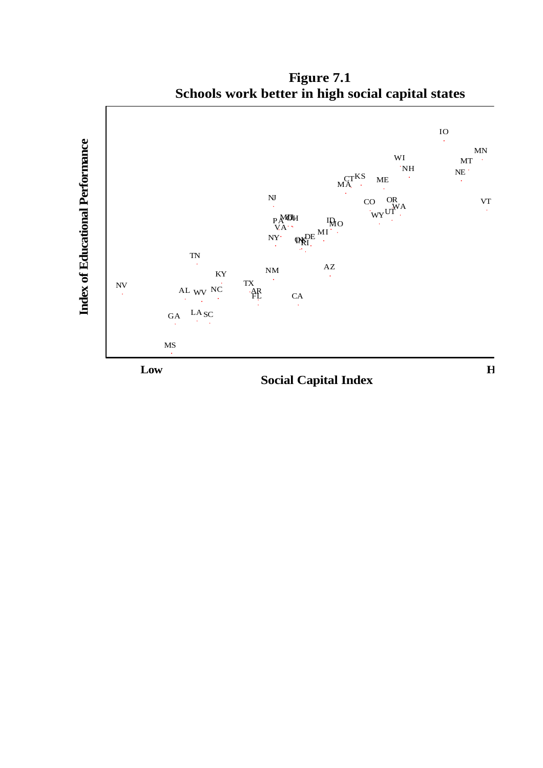

**Figure 7.1 Schools work better in high social capital states**

**Social Capital Index**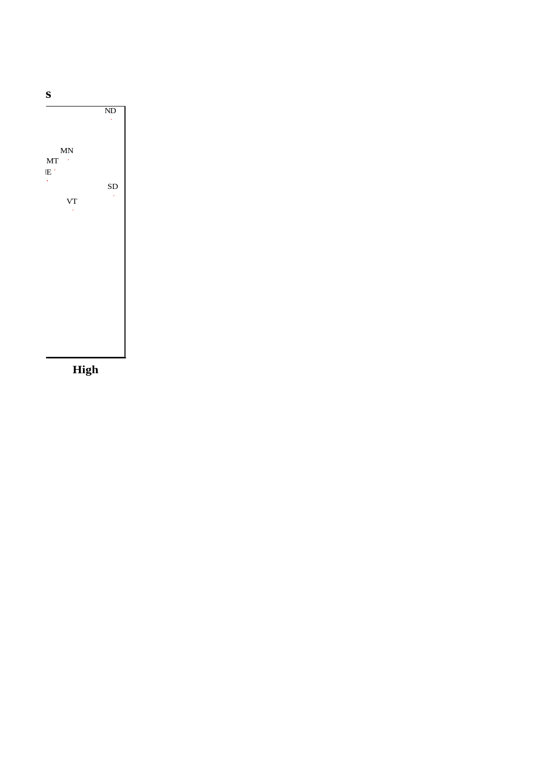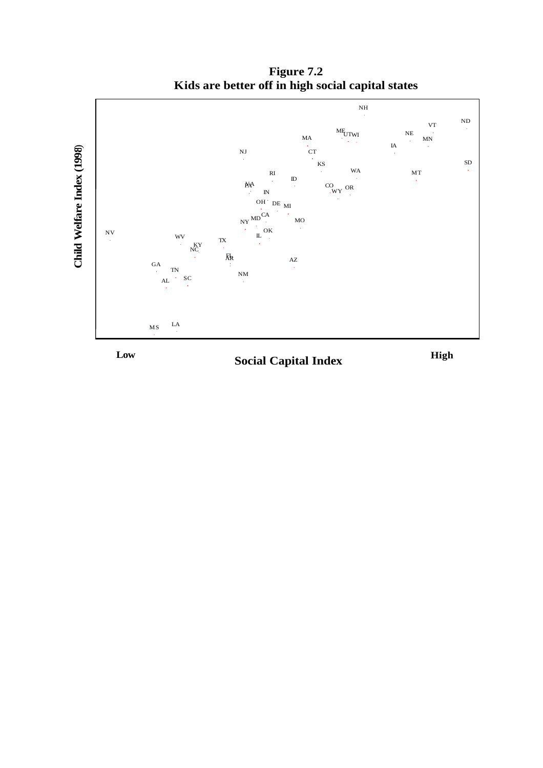

**Figure 7.2 Kids are better off in high social capital states**



**Social Capital Index**

**High**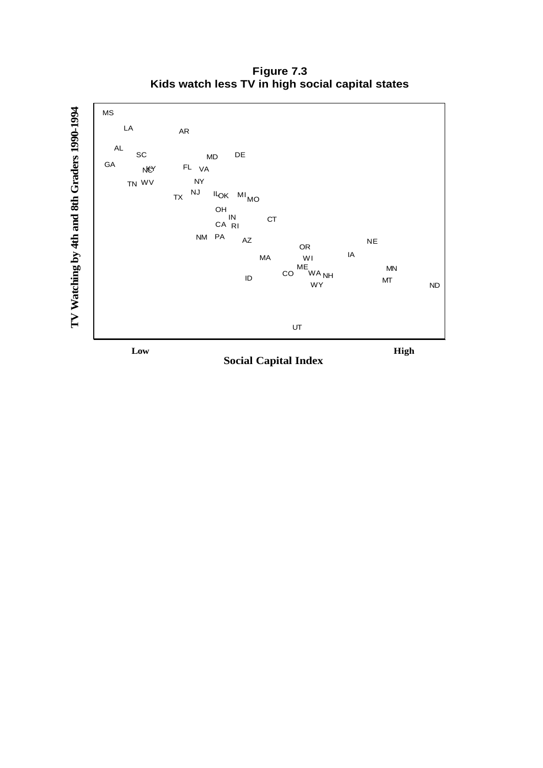**Figure 7.3 Kids watch less TV in high social capital states**



**Low High**

**Social Capital Index**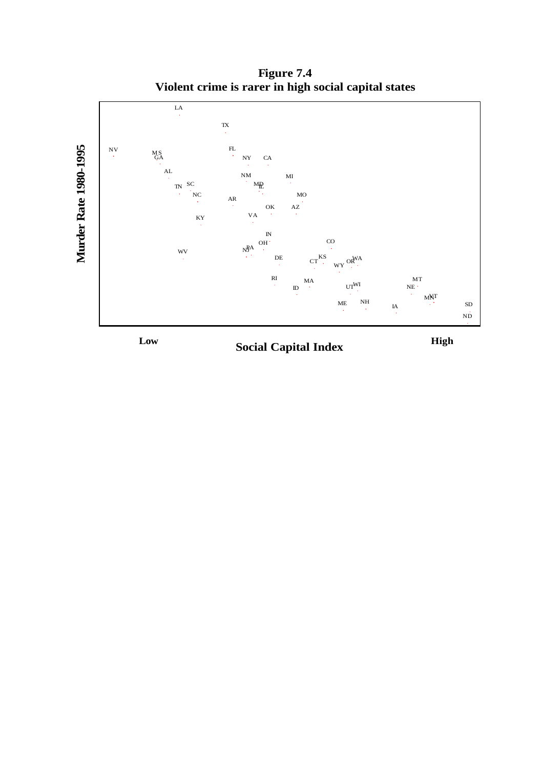**Figure 7.4 Violent crime is rarer in high social capital states**



**Social Capital Index Low High**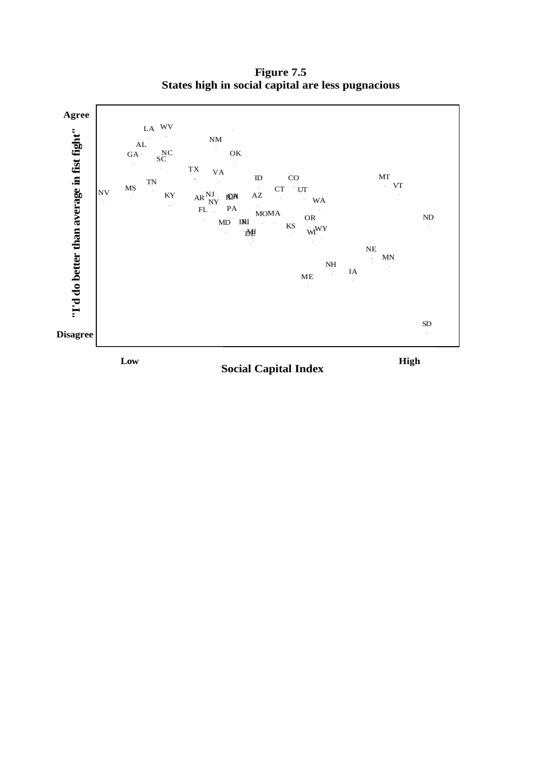**Figure 7.5 States high in social capital are less pugnacious**



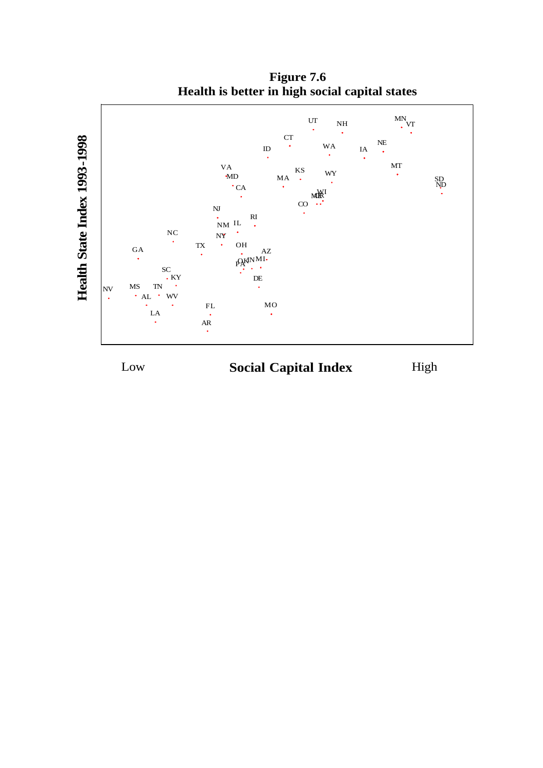

**Figure 7.6 Health is better in high social capital states**

## Low **Social Capital Index** High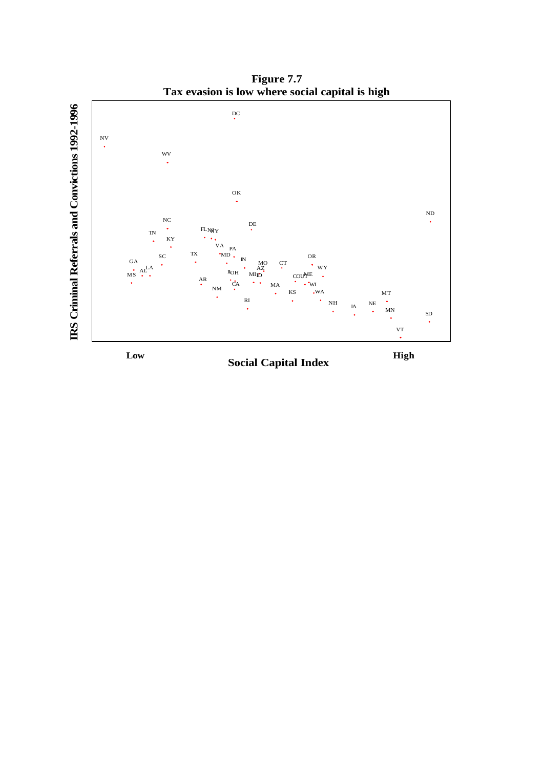**Figure 7.7 Tax evasion is low where social capital is high**



**Social Capital Index Low High**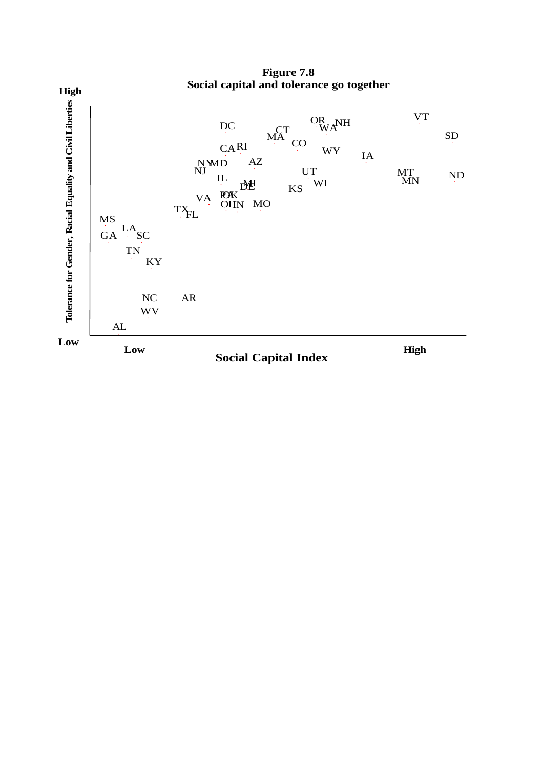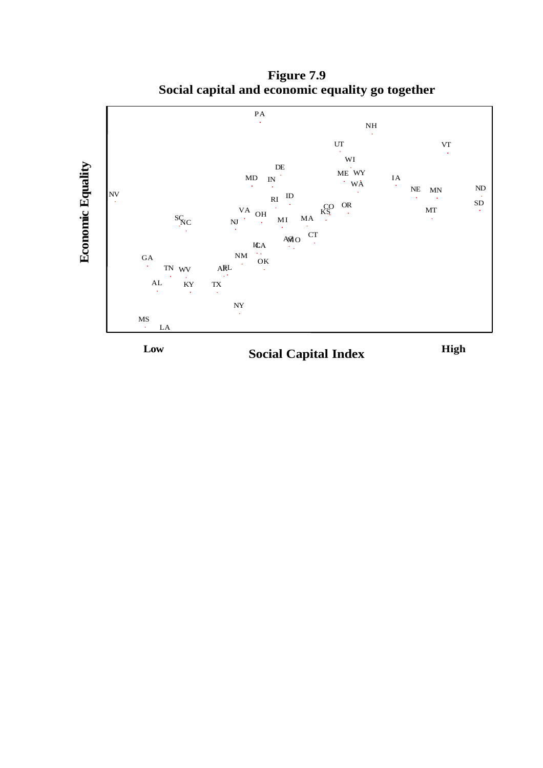

**Figure 7.9 Social capital and economic equality go together**

**Social Capital Index Low High**